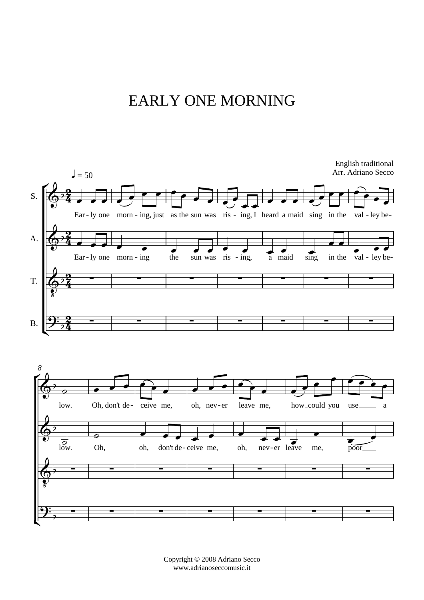## EARLY ONE MORNING

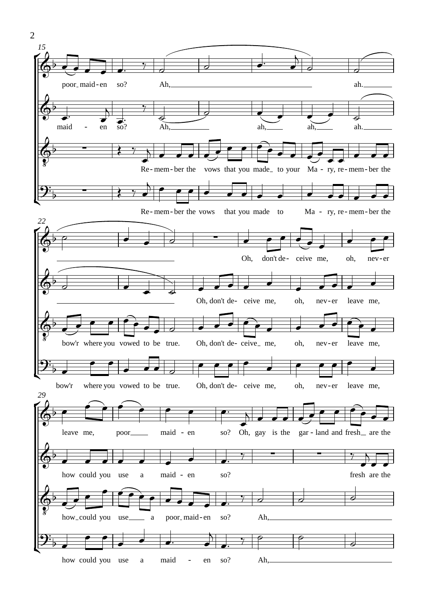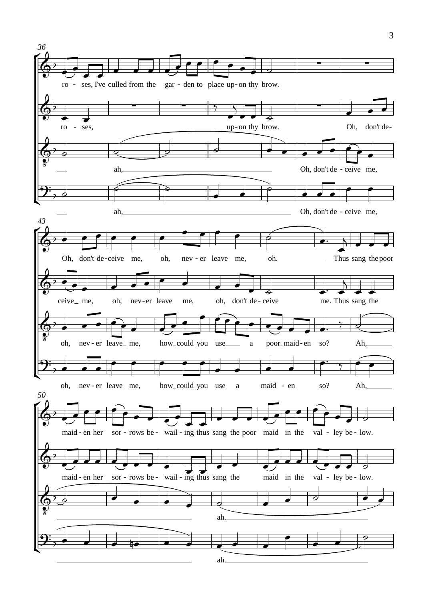

3